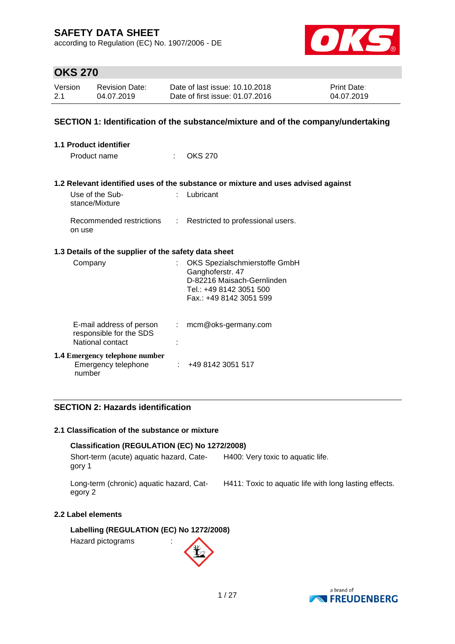according to Regulation (EC) No. 1907/2006 - DE



## **OKS 270**

| Version | Revision Date: | Date of last issue: 10.10.2018  | <b>Print Date:</b> |
|---------|----------------|---------------------------------|--------------------|
| 2.1     | 04.07.2019     | Date of first issue: 01.07.2016 | 04.07.2019         |

### **SECTION 1: Identification of the substance/mixture and of the company/undertaking**

| <b>1.1 Product identifier</b>                                           |    |                                                                                                                                       |
|-------------------------------------------------------------------------|----|---------------------------------------------------------------------------------------------------------------------------------------|
| Product name                                                            | t. | OKS 270                                                                                                                               |
|                                                                         |    | 1.2 Relevant identified uses of the substance or mixture and uses advised against                                                     |
| Use of the Sub-<br>stance/Mixture                                       |    | Lubricant                                                                                                                             |
| Recommended restrictions<br>on use                                      | ÷. | Restricted to professional users.                                                                                                     |
| 1.3 Details of the supplier of the safety data sheet                    |    |                                                                                                                                       |
| Company                                                                 | t. | OKS Spezialschmierstoffe GmbH<br>Ganghoferstr. 47<br>D-82216 Maisach-Gernlinden<br>Tel.: +49 8142 3051 500<br>Fax.: +49 8142 3051 599 |
| E-mail address of person<br>responsible for the SDS<br>National contact | ÷. | mcm@oks-germany.com                                                                                                                   |
| <b>1.4 Emergency telephone number</b><br>Emergency telephone<br>number  |    | $\div$ +49 8142 3051 517                                                                                                              |

## **SECTION 2: Hazards identification**

### **2.1 Classification of the substance or mixture**

### **Classification (REGULATION (EC) No 1272/2008)**

Short-term (acute) aquatic hazard, Category 1 H400: Very toxic to aquatic life.

Long-term (chronic) aquatic hazard, Category 2

H411: Toxic to aquatic life with long lasting effects.

## **2.2 Label elements**

**Labelling (REGULATION (EC) No 1272/2008)**

Hazard pictograms :



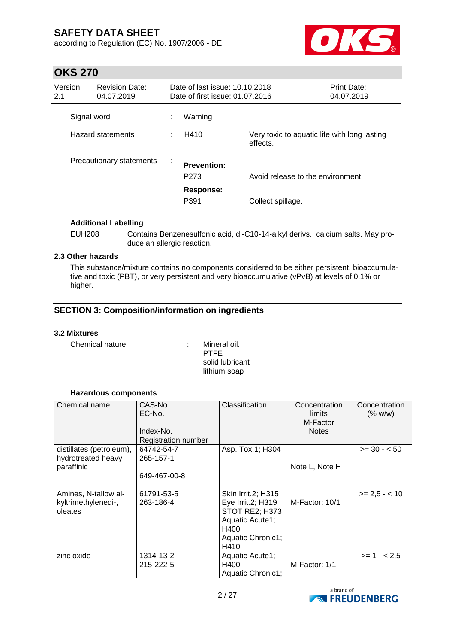according to Regulation (EC) No. 1907/2006 - DE



## **OKS 270**

| Version<br>2.1 | <b>Revision Date:</b><br>04.07.2019 |   | Date of last issue: 10.10.2018<br>Date of first issue: 01.07.2016 |                                                          | <b>Print Date:</b><br>04.07.2019 |
|----------------|-------------------------------------|---|-------------------------------------------------------------------|----------------------------------------------------------|----------------------------------|
|                | Signal word                         | ÷ | Warning                                                           |                                                          |                                  |
|                | Hazard statements                   |   | H410                                                              | Very toxic to aquatic life with long lasting<br>effects. |                                  |
|                | Precautionary statements            | ÷ | <b>Prevention:</b><br>P <sub>273</sub>                            | Avoid release to the environment.                        |                                  |
|                |                                     |   | Response:<br>P391                                                 | Collect spillage.                                        |                                  |

### **Additional Labelling**

EUH208 Contains Benzenesulfonic acid, di-C10-14-alkyl derivs., calcium salts. May produce an allergic reaction.

## **2.3 Other hazards**

This substance/mixture contains no components considered to be either persistent, bioaccumulative and toxic (PBT), or very persistent and very bioaccumulative (vPvB) at levels of 0.1% or higher.

## **SECTION 3: Composition/information on ingredients**

### **3.2 Mixtures**

Chemical nature : Mineral oil.

PTFE solid lubricant lithium soap

### **Hazardous components**

| Chemical name                                                | CAS-No.<br>EC-No.<br>Index-No.<br>Registration number | Classification                                                                                                    | Concentration<br>limits<br>M-Factor<br><b>Notes</b> | Concentration<br>(% w/w) |
|--------------------------------------------------------------|-------------------------------------------------------|-------------------------------------------------------------------------------------------------------------------|-----------------------------------------------------|--------------------------|
| distillates (petroleum),<br>hydrotreated heavy<br>paraffinic | 64742-54-7<br>265-157-1<br>649-467-00-8               | Asp. Tox.1; H304                                                                                                  | Note L, Note H                                      | $>= 30 - 50$             |
| Amines, N-tallow al-<br>kyltrimethylenedi-,<br>oleates       | 61791-53-5<br>263-186-4                               | Skin Irrit.2; H315<br>Eye Irrit.2; H319<br>STOT RE2; H373<br>Aquatic Acute1;<br>H400<br>Aquatic Chronic1;<br>H410 | M-Factor: 10/1                                      | $>= 2.5 - < 10$          |
| zinc oxide                                                   | 1314-13-2<br>215-222-5                                | Aquatic Acute1;<br>H400<br>Aquatic Chronic1;                                                                      | M-Factor: 1/1                                       | $>= 1 - 2.5$             |

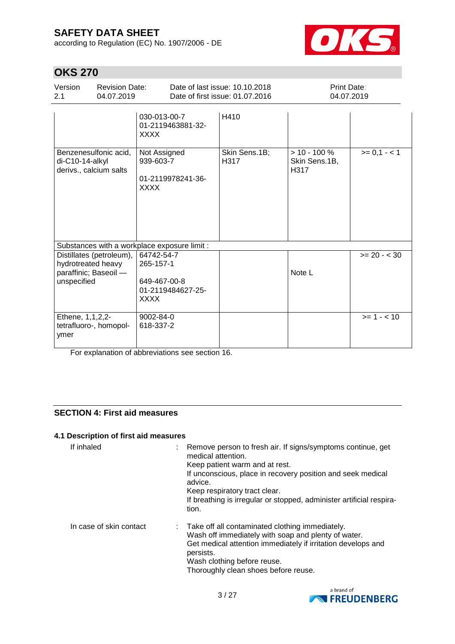according to Regulation (EC) No. 1907/2006 - DE



## **OKS 270**

| Version<br>2.1                                             | <b>Revision Date:</b><br>04.07.2019 |                                                                      | Date of last issue: 10.10.2018<br>Date of first issue: 01.07.2016 | Print Date:<br>04.07.2019                |              |
|------------------------------------------------------------|-------------------------------------|----------------------------------------------------------------------|-------------------------------------------------------------------|------------------------------------------|--------------|
|                                                            |                                     | 030-013-00-7<br>01-2119463881-32-<br><b>XXXX</b>                     | H410                                                              |                                          |              |
| di-C10-14-alkyl<br>derivs., calcium salts                  | Benzenesulfonic acid,               | Not Assigned<br>939-603-7<br>01-2119978241-36-<br><b>XXXX</b>        | Skin Sens.1B;<br>H <sub>317</sub>                                 | $> 10 - 100 \%$<br>Skin Sens.1B,<br>H317 | $>= 0,1 - 1$ |
|                                                            |                                     | Substances with a workplace exposure limit :                         |                                                                   |                                          |              |
| hydrotreated heavy<br>paraffinic; Baseoil -<br>unspecified | Distillates (petroleum),            | 64742-54-7<br>265-157-1<br>649-467-00-8<br>01-2119484627-25-<br>XXXX |                                                                   | Note L                                   | $>= 20 - 30$ |
| Ethene, 1,1,2,2-<br>ymer                                   | tetrafluoro-, homopol-              | 9002-84-0<br>618-337-2                                               |                                                                   |                                          | $>= 1 - 10$  |

For explanation of abbreviations see section 16.

## **SECTION 4: First aid measures**

#### **4.1 Description of first aid measures**

| If inhaled              | medical attention.<br>Keep patient warm and at rest.<br>advice.<br>Keep respiratory tract clear.<br>tion. | : Remove person to fresh air. If signs/symptoms continue, get<br>If unconscious, place in recovery position and seek medical<br>If breathing is irregular or stopped, administer artificial respira-             |
|-------------------------|-----------------------------------------------------------------------------------------------------------|------------------------------------------------------------------------------------------------------------------------------------------------------------------------------------------------------------------|
| In case of skin contact | persists.<br>Wash clothing before reuse.                                                                  | : Take off all contaminated clothing immediately.<br>Wash off immediately with soap and plenty of water.<br>Get medical attention immediately if irritation develops and<br>Thoroughly clean shoes before reuse. |

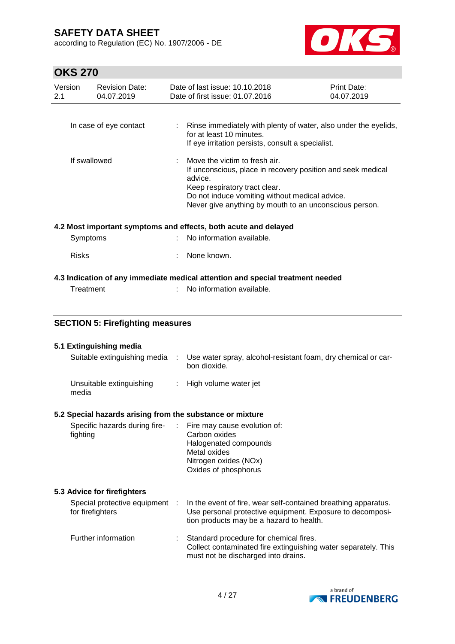according to Regulation (EC) No. 1907/2006 - DE



# **OKS 270**

| <b>OKS 270</b> |              |                                                    |                                                                                                                                                                                                                                                      |                                                                                                                                                                                                      |                                  |  |
|----------------|--------------|----------------------------------------------------|------------------------------------------------------------------------------------------------------------------------------------------------------------------------------------------------------------------------------------------------------|------------------------------------------------------------------------------------------------------------------------------------------------------------------------------------------------------|----------------------------------|--|
| Version<br>2.1 |              | <b>Revision Date:</b><br>04.07.2019                |                                                                                                                                                                                                                                                      | Date of last issue: 10.10.2018<br>Date of first issue: 01.07.2016                                                                                                                                    | <b>Print Date:</b><br>04.07.2019 |  |
|                |              | In case of eye contact                             | ÷                                                                                                                                                                                                                                                    | Rinse immediately with plenty of water, also under the eyelids,<br>for at least 10 minutes.<br>If eye irritation persists, consult a specialist.                                                     |                                  |  |
| If swallowed   |              |                                                    | Move the victim to fresh air.<br>If unconscious, place in recovery position and seek medical<br>advice.<br>Keep respiratory tract clear.<br>Do not induce vomiting without medical advice.<br>Never give anything by mouth to an unconscious person. |                                                                                                                                                                                                      |                                  |  |
|                |              |                                                    |                                                                                                                                                                                                                                                      | 4.2 Most important symptoms and effects, both acute and delayed                                                                                                                                      |                                  |  |
|                | Symptoms     |                                                    |                                                                                                                                                                                                                                                      | No information available.                                                                                                                                                                            |                                  |  |
|                | <b>Risks</b> |                                                    |                                                                                                                                                                                                                                                      | None known.                                                                                                                                                                                          |                                  |  |
|                |              |                                                    |                                                                                                                                                                                                                                                      | 4.3 Indication of any immediate medical attention and special treatment needed                                                                                                                       |                                  |  |
|                | Treatment    |                                                    |                                                                                                                                                                                                                                                      | No information available.                                                                                                                                                                            |                                  |  |
|                |              |                                                    |                                                                                                                                                                                                                                                      |                                                                                                                                                                                                      |                                  |  |
|                |              |                                                    |                                                                                                                                                                                                                                                      |                                                                                                                                                                                                      |                                  |  |
|                |              | <b>SECTION 5: Firefighting measures</b>            |                                                                                                                                                                                                                                                      |                                                                                                                                                                                                      |                                  |  |
|                |              | 5.1 Extinguishing media                            |                                                                                                                                                                                                                                                      |                                                                                                                                                                                                      |                                  |  |
|                |              | Suitable extinguishing media :                     |                                                                                                                                                                                                                                                      | Use water spray, alcohol-resistant foam, dry chemical or car-<br>bon dioxide.                                                                                                                        |                                  |  |
|                | media        | Unsuitable extinguishing                           | ÷.                                                                                                                                                                                                                                                   | High volume water jet                                                                                                                                                                                |                                  |  |
|                |              |                                                    |                                                                                                                                                                                                                                                      |                                                                                                                                                                                                      |                                  |  |
|                | fighting     | Specific hazards during fire-                      |                                                                                                                                                                                                                                                      | 5.2 Special hazards arising from the substance or mixture<br>Fire may cause evolution of:<br>Carbon oxides<br>Halogenated compounds<br>Metal oxides<br>Nitrogen oxides (NOx)<br>Oxides of phosphorus |                                  |  |
|                |              | 5.3 Advice for firefighters                        |                                                                                                                                                                                                                                                      |                                                                                                                                                                                                      |                                  |  |
|                |              | Special protective equipment :<br>for firefighters |                                                                                                                                                                                                                                                      | In the event of fire, wear self-contained breathing apparatus.<br>Use personal protective equipment. Exposure to decomposi-<br>tion products may be a hazard to health.                              |                                  |  |
|                |              | Further information                                |                                                                                                                                                                                                                                                      | Standard procedure for chemical fires.<br>Collect contaminated fire extinguishing water separately. This<br>must not be discharged into drains.                                                      |                                  |  |

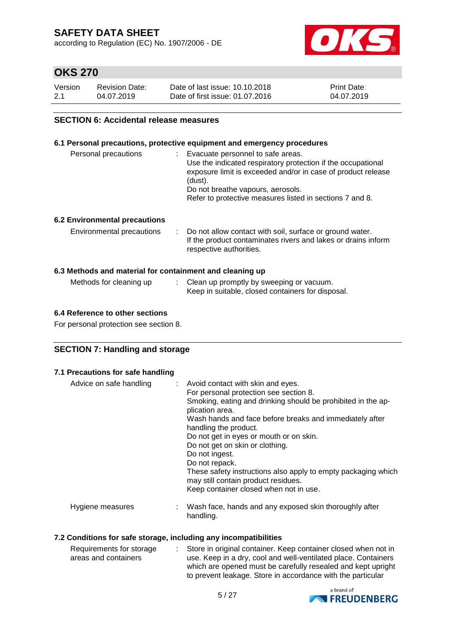according to Regulation (EC) No. 1907/2006 - DE



## **OKS 270**

| Version | <b>Revision Date:</b> | Date of last issue: 10.10.2018  | <b>Print Date:</b> |
|---------|-----------------------|---------------------------------|--------------------|
| 2.1     | 04.07.2019            | Date of first issue: 01.07.2016 | 04.07.2019         |

### **SECTION 6: Accidental release measures**

### **6.1 Personal precautions, protective equipment and emergency procedures**

| Personal precautions                                     | : Evacuate personnel to safe areas.<br>Use the indicated respiratory protection if the occupational<br>exposure limit is exceeded and/or in case of product release<br>(dust).<br>Do not breathe vapours, aerosols.<br>Refer to protective measures listed in sections 7 and 8. |
|----------------------------------------------------------|---------------------------------------------------------------------------------------------------------------------------------------------------------------------------------------------------------------------------------------------------------------------------------|
| <b>6.2 Environmental precautions</b>                     |                                                                                                                                                                                                                                                                                 |
| Environmental precautions                                | : Do not allow contact with soil, surface or ground water.<br>If the product contaminates rivers and lakes or drains inform<br>respective authorities.                                                                                                                          |
| 6.3 Methods and material for containment and cleaning up |                                                                                                                                                                                                                                                                                 |
| Methods for cleaning up                                  | : Clean up promptly by sweeping or vacuum.                                                                                                                                                                                                                                      |

Keep in suitable, closed containers for disposal.

## **6.4 Reference to other sections**

For personal protection see section 8.

### **SECTION 7: Handling and storage**

### **7.1 Precautions for safe handling**

| Advice on safe handling | : Avoid contact with skin and eyes.<br>For personal protection see section 8.<br>Smoking, eating and drinking should be prohibited in the ap-<br>plication area.<br>Wash hands and face before breaks and immediately after<br>handling the product.<br>Do not get in eyes or mouth or on skin.<br>Do not get on skin or clothing.<br>Do not ingest.<br>Do not repack.<br>These safety instructions also apply to empty packaging which<br>may still contain product residues.<br>Keep container closed when not in use. |
|-------------------------|--------------------------------------------------------------------------------------------------------------------------------------------------------------------------------------------------------------------------------------------------------------------------------------------------------------------------------------------------------------------------------------------------------------------------------------------------------------------------------------------------------------------------|
| Hygiene measures        | : Wash face, hands and any exposed skin thoroughly after<br>handling.                                                                                                                                                                                                                                                                                                                                                                                                                                                    |

#### **7.2 Conditions for safe storage, including any incompatibilities**

| Requirements for storage | : Store in original container. Keep container closed when not in                                                            |
|--------------------------|-----------------------------------------------------------------------------------------------------------------------------|
| areas and containers     | use. Keep in a dry, cool and well-ventilated place. Containers                                                              |
|                          | which are opened must be carefully resealed and kept upright<br>to prevent leakage. Store in accordance with the particular |

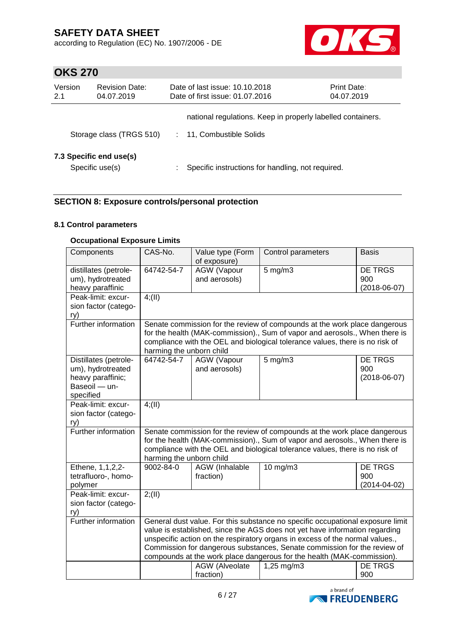according to Regulation (EC) No. 1907/2006 - DE



## **OKS 270**

| Version<br>2.1                             | <b>Revision Date:</b><br>04.07.2019 | Date of last issue: 10.10.2018<br>Date of first issue: 01.07.2016 | <b>Print Date:</b><br>04.07.2019 |
|--------------------------------------------|-------------------------------------|-------------------------------------------------------------------|----------------------------------|
|                                            |                                     | national regulations. Keep in properly labelled containers.       |                                  |
| Storage class (TRGS 510)                   |                                     | 11, Combustible Solids                                            |                                  |
| 7.3 Specific end use(s)<br>Specific use(s) |                                     | Specific instructions for handling, not required.                 |                                  |

## **SECTION 8: Exposure controls/personal protection**

## **8.1 Control parameters**

### **Occupational Exposure Limits**

| Components            | CAS-No.                                                                        | Value type (Form                                                       | Control parameters                                                           | <b>Basis</b>       |  |  |  |
|-----------------------|--------------------------------------------------------------------------------|------------------------------------------------------------------------|------------------------------------------------------------------------------|--------------------|--|--|--|
|                       |                                                                                | of exposure)                                                           |                                                                              |                    |  |  |  |
| distillates (petrole- | 64742-54-7                                                                     | AGW (Vapour                                                            | $5$ mg/m $3$                                                                 | DE TRGS            |  |  |  |
| um), hydrotreated     |                                                                                | and aerosols)                                                          |                                                                              | 900                |  |  |  |
| heavy paraffinic      |                                                                                |                                                                        |                                                                              | $(2018-06-07)$     |  |  |  |
| Peak-limit: excur-    | $4$ ; (II)                                                                     |                                                                        |                                                                              |                    |  |  |  |
|                       |                                                                                |                                                                        |                                                                              |                    |  |  |  |
| sion factor (catego-  |                                                                                |                                                                        |                                                                              |                    |  |  |  |
| ry)                   |                                                                                |                                                                        |                                                                              |                    |  |  |  |
| Further information   |                                                                                |                                                                        | Senate commission for the review of compounds at the work place dangerous    |                    |  |  |  |
|                       |                                                                                |                                                                        | for the health (MAK-commission)., Sum of vapor and aerosols., When there is  |                    |  |  |  |
|                       |                                                                                |                                                                        | compliance with the OEL and biological tolerance values, there is no risk of |                    |  |  |  |
|                       | harming the unborn child                                                       |                                                                        |                                                                              |                    |  |  |  |
| Distillates (petrole- | 64742-54-7                                                                     | <b>AGW</b> (Vapour                                                     | $5$ mg/m $3$                                                                 | DE TRGS            |  |  |  |
| um), hydrotreated     |                                                                                | and aerosols)                                                          |                                                                              | 900                |  |  |  |
| heavy paraffinic;     |                                                                                |                                                                        |                                                                              | $(2018-06-07)$     |  |  |  |
|                       |                                                                                |                                                                        |                                                                              |                    |  |  |  |
| Baseoil - un-         |                                                                                |                                                                        |                                                                              |                    |  |  |  |
| specified             |                                                                                |                                                                        |                                                                              |                    |  |  |  |
| Peak-limit: excur-    | 4(11)                                                                          |                                                                        |                                                                              |                    |  |  |  |
| sion factor (catego-  |                                                                                |                                                                        |                                                                              |                    |  |  |  |
| ry)                   |                                                                                |                                                                        |                                                                              |                    |  |  |  |
| Further information   |                                                                                |                                                                        | Senate commission for the review of compounds at the work place dangerous    |                    |  |  |  |
|                       |                                                                                |                                                                        | for the health (MAK-commission)., Sum of vapor and aerosols., When there is  |                    |  |  |  |
|                       |                                                                                |                                                                        | compliance with the OEL and biological tolerance values, there is no risk of |                    |  |  |  |
|                       | harming the unborn child                                                       |                                                                        |                                                                              |                    |  |  |  |
| Ethene, 1,1,2,2-      | 9002-84-0                                                                      | AGW (Inhalable                                                         | 10 mg/m3                                                                     | <b>DE TRGS</b>     |  |  |  |
|                       |                                                                                |                                                                        |                                                                              |                    |  |  |  |
| tetrafluoro-, homo-   |                                                                                | fraction)                                                              |                                                                              | 900                |  |  |  |
| polymer               |                                                                                |                                                                        |                                                                              | $(2014 - 04 - 02)$ |  |  |  |
| Peak-limit: excur-    | 2; (II)                                                                        |                                                                        |                                                                              |                    |  |  |  |
| sion factor (catego-  |                                                                                |                                                                        |                                                                              |                    |  |  |  |
| ry)                   |                                                                                |                                                                        |                                                                              |                    |  |  |  |
| Further information   | General dust value. For this substance no specific occupational exposure limit |                                                                        |                                                                              |                    |  |  |  |
|                       | value is established, since the AGS does not yet have information regarding    |                                                                        |                                                                              |                    |  |  |  |
|                       | unspecific action on the respiratory organs in excess of the normal values.,   |                                                                        |                                                                              |                    |  |  |  |
|                       | Commission for dangerous substances, Senate commission for the review of       |                                                                        |                                                                              |                    |  |  |  |
|                       |                                                                                | compounds at the work place dangerous for the health (MAK-commission). |                                                                              |                    |  |  |  |
|                       |                                                                                |                                                                        |                                                                              |                    |  |  |  |
|                       |                                                                                | AGW (Alveolate                                                         | 1,25 mg/m3                                                                   | <b>DE TRGS</b>     |  |  |  |
|                       |                                                                                | fraction)                                                              |                                                                              | 900                |  |  |  |

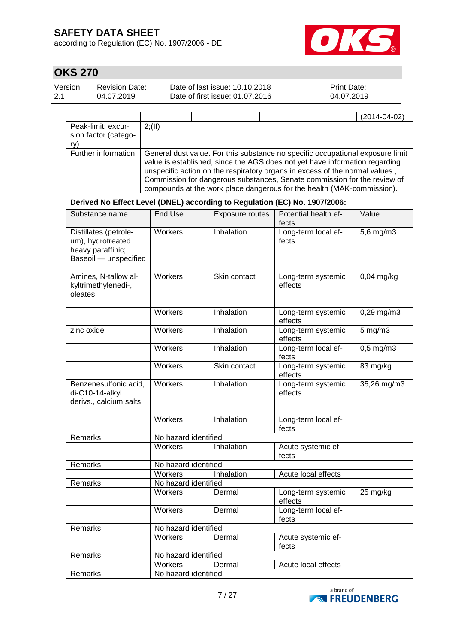according to Regulation (EC) No. 1907/2006 - DE



# **OKS 270**

| Version | <b>Revision Date:</b> | Date of last issue: 10.10.2018  | <b>Print Date:</b> |
|---------|-----------------------|---------------------------------|--------------------|
| $-2.1$  | 04.07.2019            | Date of first issue: 01.07.2016 | 04.07.2019         |

|                                                   | $(2014 - 04 - 02)$                                                                                                                                                                                                                                                                                                                                                                                  |
|---------------------------------------------------|-----------------------------------------------------------------------------------------------------------------------------------------------------------------------------------------------------------------------------------------------------------------------------------------------------------------------------------------------------------------------------------------------------|
| Peak-limit: excur-<br>sion factor (catego-<br>ry) | 2(11)                                                                                                                                                                                                                                                                                                                                                                                               |
| Further information                               | General dust value. For this substance no specific occupational exposure limit<br>value is established, since the AGS does not yet have information regarding<br>unspecific action on the respiratory organs in excess of the normal values.,<br>Commission for dangerous substances, Senate commission for the review of<br>compounds at the work place dangerous for the health (MAK-commission). |

**Derived No Effect Level (DNEL) according to Regulation (EC) No. 1907/2006:**

| Substance name                                                                           | <b>End Use</b>       | <b>Exposure routes</b> | Potential health ef-<br>fects | Value                   |
|------------------------------------------------------------------------------------------|----------------------|------------------------|-------------------------------|-------------------------|
| Distillates (petrole-<br>um), hydrotreated<br>heavy paraffinic;<br>Baseoil - unspecified | Workers              | <b>Inhalation</b>      | Long-term local ef-<br>fects  | 5,6 mg/m3               |
| Amines, N-tallow al-<br>kyltrimethylenedi-,<br>oleates                                   | Workers              | Skin contact           | Long-term systemic<br>effects | $0,04$ mg/kg            |
|                                                                                          | <b>Workers</b>       | Inhalation             | Long-term systemic<br>effects | $0,29$ mg/m $3$         |
| zinc oxide                                                                               | Workers              | Inhalation             | Long-term systemic<br>effects | 5 mg/m3                 |
|                                                                                          | <b>Workers</b>       | Inhalation             | Long-term local ef-<br>fects  | $0,5 \,\mathrm{mg/m}$ 3 |
|                                                                                          | <b>Workers</b>       | Skin contact           | Long-term systemic<br>effects | 83 $mg/kg$              |
| Benzenesulfonic acid,<br>di-C10-14-alkyl<br>derivs., calcium salts                       | Workers              | Inhalation             | Long-term systemic<br>effects | 35,26 mg/m3             |
|                                                                                          | Workers              | Inhalation             | Long-term local ef-<br>fects  |                         |
| Remarks:                                                                                 | No hazard identified |                        |                               |                         |
|                                                                                          | Workers              | Inhalation             | Acute systemic ef-<br>fects   |                         |
| Remarks:                                                                                 | No hazard identified |                        |                               |                         |
|                                                                                          | <b>Workers</b>       | Inhalation             | Acute local effects           |                         |
| Remarks:                                                                                 | No hazard identified |                        |                               |                         |
|                                                                                          | Workers              | Dermal                 | Long-term systemic<br>effects | 25 mg/kg                |
|                                                                                          | <b>Workers</b>       | Dermal                 | Long-term local ef-<br>fects  |                         |
| Remarks:                                                                                 | No hazard identified |                        |                               |                         |
|                                                                                          | <b>Workers</b>       | Dermal                 | Acute systemic ef-<br>fects   |                         |
| Remarks:                                                                                 | No hazard identified |                        |                               |                         |
|                                                                                          | Workers              | Dermal                 | Acute local effects           |                         |
| Remarks:                                                                                 | No hazard identified |                        |                               |                         |

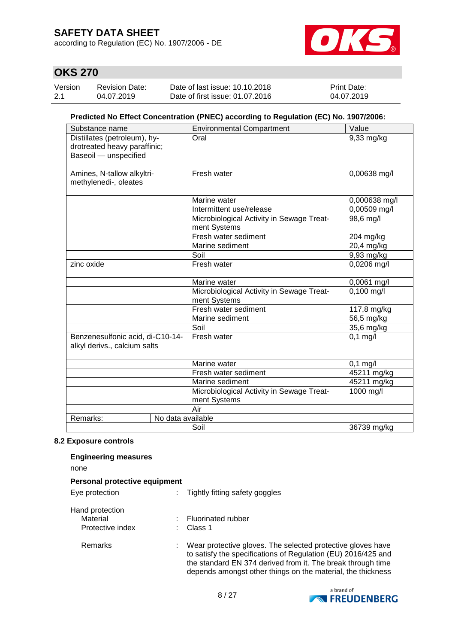according to Regulation (EC) No. 1907/2006 - DE



## **OKS 270**

| Version | <b>Revision Date:</b> | Date of last issue: 10.10.2018  | <b>Print Date:</b> |
|---------|-----------------------|---------------------------------|--------------------|
| 2.1     | 04.07.2019            | Date of first issue: 01.07.2016 | 04.07.2019         |

### **Predicted No Effect Concentration (PNEC) according to Regulation (EC) No. 1907/2006:**

| Substance name                   | <b>Environmental Compartment</b>          | Value         |
|----------------------------------|-------------------------------------------|---------------|
| Distillates (petroleum), hy-     | Oral                                      | 9,33 mg/kg    |
| drotreated heavy paraffinic;     |                                           |               |
| Baseoil - unspecified            |                                           |               |
|                                  |                                           |               |
| Amines, N-tallow alkyltri-       | Fresh water                               | 0,00638 mg/l  |
| methylenedi-, oleates            |                                           |               |
|                                  |                                           |               |
|                                  | Marine water                              | 0,000638 mg/l |
|                                  | Intermittent use/release                  | 0,00509 mg/l  |
|                                  | Microbiological Activity in Sewage Treat- | 98,6 mg/l     |
|                                  | ment Systems                              |               |
|                                  | Fresh water sediment                      | 204 mg/kg     |
|                                  | Marine sediment                           | 20,4 mg/kg    |
|                                  | Soil                                      | 9,93 mg/kg    |
| zinc oxide                       | Fresh water                               | 0,0206 mg/l   |
|                                  |                                           |               |
|                                  | Marine water                              | $0,0061$ mg/l |
|                                  | Microbiological Activity in Sewage Treat- | $0,100$ mg/l  |
|                                  | ment Systems                              |               |
|                                  | Fresh water sediment                      | 117,8 mg/kg   |
|                                  | Marine sediment                           | 56,5 mg/kg    |
|                                  | Soil                                      | 35,6 mg/kg    |
| Benzenesulfonic acid, di-C10-14- | Fresh water                               | $0,1$ mg/l    |
| alkyl derivs., calcium salts     |                                           |               |
|                                  |                                           |               |
|                                  | Marine water                              | $0,1$ mg/l    |
|                                  | Fresh water sediment                      | 45211 mg/kg   |
|                                  | Marine sediment                           | 45211 mg/kg   |
|                                  | Microbiological Activity in Sewage Treat- | 1000 mg/l     |
|                                  | ment Systems                              |               |
|                                  | Air                                       |               |
| Remarks:<br>No data available    |                                           |               |
|                                  | Soil                                      | 36739 mg/kg   |

### **8.2 Exposure controls**

| <b>Engineering measures</b><br>none |                                                                                                                                                                                                                                                            |
|-------------------------------------|------------------------------------------------------------------------------------------------------------------------------------------------------------------------------------------------------------------------------------------------------------|
| Personal protective equipment       |                                                                                                                                                                                                                                                            |
| Eye protection                      | Tightly fitting safety goggles                                                                                                                                                                                                                             |
| Hand protection                     |                                                                                                                                                                                                                                                            |
| Material                            | <b>Fluorinated rubber</b>                                                                                                                                                                                                                                  |
| Protective index                    | Class 1                                                                                                                                                                                                                                                    |
| Remarks                             | Wear protective gloves. The selected protective gloves have<br>to satisfy the specifications of Regulation (EU) 2016/425 and<br>the standard EN 374 derived from it. The break through time<br>depends amongst other things on the material, the thickness |

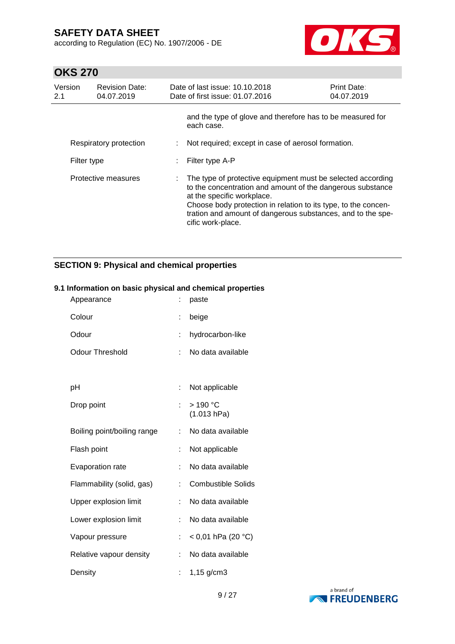according to Regulation (EC) No. 1907/2006 - DE



## **OKS 270**

| Version<br>2.1      | <b>Revision Date:</b><br>04.07.2019 | Date of last issue: 10.10.2018<br>Date of first issue: 01.07.2016                                                                                                                                                                                                                                             | <b>Print Date:</b><br>04.07.2019 |
|---------------------|-------------------------------------|---------------------------------------------------------------------------------------------------------------------------------------------------------------------------------------------------------------------------------------------------------------------------------------------------------------|----------------------------------|
|                     |                                     | and the type of glove and therefore has to be measured for<br>each case.                                                                                                                                                                                                                                      |                                  |
|                     | Respiratory protection              | Not required; except in case of aerosol formation.                                                                                                                                                                                                                                                            |                                  |
| Filter type         |                                     | Filter type A-P                                                                                                                                                                                                                                                                                               |                                  |
| Protective measures |                                     | The type of protective equipment must be selected according<br>to the concentration and amount of the dangerous substance<br>at the specific workplace.<br>Choose body protection in relation to its type, to the concen-<br>tration and amount of dangerous substances, and to the spe-<br>cific work-place. |                                  |

## **SECTION 9: Physical and chemical properties**

### **9.1 Information on basic physical and chemical properties**

| Appearance                  |    | paste                     |
|-----------------------------|----|---------------------------|
| Colour                      | t  | beige                     |
| Odour                       | t. | hydrocarbon-like          |
| <b>Odour Threshold</b>      |    | No data available         |
|                             |    |                           |
| рH                          | ÷. | Not applicable            |
| Drop point                  |    | $>190$ °C<br>(1.013 hPa)  |
| Boiling point/boiling range | ÷. | No data available         |
| Flash point                 |    | Not applicable            |
| Evaporation rate            |    | No data available         |
| Flammability (solid, gas)   |    | <b>Combustible Solids</b> |
| Upper explosion limit       | ÷. | No data available         |
| Lower explosion limit       |    | No data available         |
| Vapour pressure             |    | $< 0.01$ hPa (20 °C)      |
| Relative vapour density     | ÷. | No data available         |
| Density                     |    | $1,15$ g/cm3              |

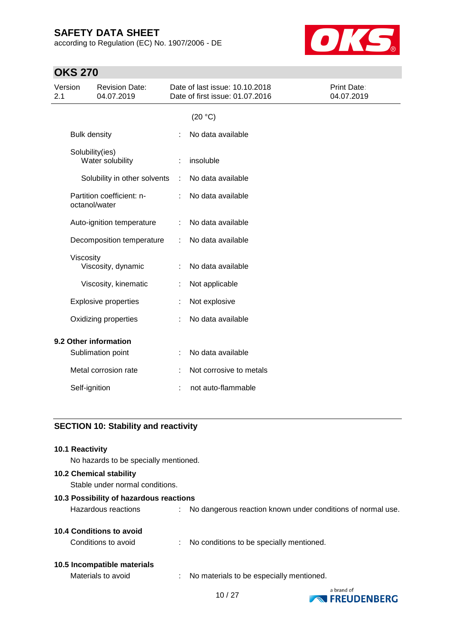according to Regulation (EC) No. 1907/2006 - DE



## **OKS 270**

| Version<br>2.1        |                     | <b>Revision Date:</b><br>04.07.2019 |   | Date of last issue: 10.10.2018<br>Date of first issue: 01.07.2016 | Print Date:<br>04.07.2019 |
|-----------------------|---------------------|-------------------------------------|---|-------------------------------------------------------------------|---------------------------|
|                       |                     |                                     |   | (20 °C)                                                           |                           |
|                       | <b>Bulk density</b> |                                     |   | No data available                                                 |                           |
|                       | Solubility(ies)     | Water solubility                    |   | insoluble                                                         |                           |
|                       |                     | Solubility in other solvents        | ÷ | No data available                                                 |                           |
|                       | octanol/water       | Partition coefficient: n-           |   | No data available                                                 |                           |
|                       |                     | Auto-ignition temperature           | ÷ | No data available                                                 |                           |
|                       |                     | Decomposition temperature           | ÷ | No data available                                                 |                           |
|                       | Viscosity           | Viscosity, dynamic                  |   | No data available                                                 |                           |
|                       |                     | Viscosity, kinematic                |   | Not applicable                                                    |                           |
|                       |                     | <b>Explosive properties</b>         |   | Not explosive                                                     |                           |
|                       |                     | Oxidizing properties                |   | No data available                                                 |                           |
| 9.2 Other information |                     |                                     |   |                                                                   |                           |
|                       |                     | Sublimation point                   |   | No data available                                                 |                           |
|                       |                     | Metal corrosion rate                |   | Not corrosive to metals                                           |                           |
|                       | Self-ignition       |                                     |   | not auto-flammable                                                |                           |
|                       |                     |                                     |   |                                                                   |                           |

## **SECTION 10: Stability and reactivity**

| <b>10.1 Reactivity</b><br>No hazards to be specially mentioned.   |                                                               |
|-------------------------------------------------------------------|---------------------------------------------------------------|
| <b>10.2 Chemical stability</b><br>Stable under normal conditions. |                                                               |
| 10.3 Possibility of hazardous reactions                           |                                                               |
| Hazardous reactions                                               | : No dangerous reaction known under conditions of normal use. |
| 10.4 Conditions to avoid                                          |                                                               |
| Conditions to avoid                                               | : No conditions to be specially mentioned.                    |
| 10.5 Incompatible materials                                       |                                                               |
| Materials to avoid                                                | No materials to be especially mentioned.                      |

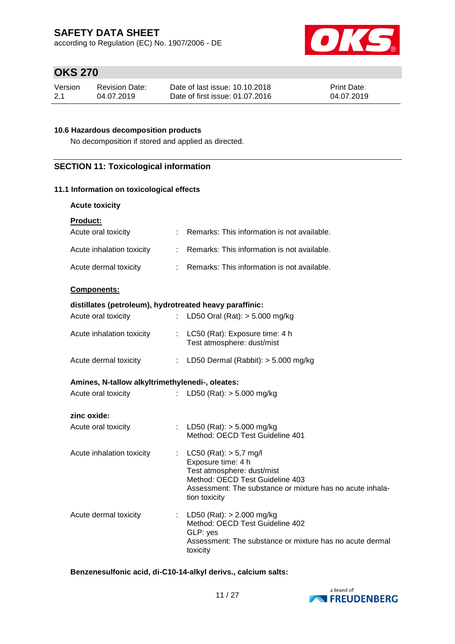according to Regulation (EC) No. 1907/2006 - DE



## **OKS 270**

| Version | Revision Date: | Date of last issue: 10.10.2018  | <b>Print Date:</b> |
|---------|----------------|---------------------------------|--------------------|
| -2.1    | 04.07.2019     | Date of first issue: 01.07.2016 | 04.07.2019         |

### **10.6 Hazardous decomposition products**

No decomposition if stored and applied as directed.

## **SECTION 11: Toxicological information**

### **11.1 Information on toxicological effects**

### **Acute toxicity**

| <b>Product:</b>                                         |                           |                                                                                                                                                                                |
|---------------------------------------------------------|---------------------------|--------------------------------------------------------------------------------------------------------------------------------------------------------------------------------|
| Acute oral toxicity                                     |                           | : Remarks: This information is not available.                                                                                                                                  |
| Acute inhalation toxicity                               | $\mathbb{R}^{\mathbb{Z}}$ | Remarks: This information is not available.                                                                                                                                    |
| Acute dermal toxicity                                   |                           | : Remarks: This information is not available.                                                                                                                                  |
| Components:                                             |                           |                                                                                                                                                                                |
| distillates (petroleum), hydrotreated heavy paraffinic: |                           |                                                                                                                                                                                |
| Acute oral toxicity                                     | t.                        | LD50 Oral (Rat): $> 5.000$ mg/kg                                                                                                                                               |
| Acute inhalation toxicity                               |                           | : LC50 (Rat): Exposure time: 4 h<br>Test atmosphere: dust/mist                                                                                                                 |
| Acute dermal toxicity                                   |                           | : LD50 Dermal (Rabbit): $> 5.000$ mg/kg                                                                                                                                        |
| Amines, N-tallow alkyltrimethylenedi-, oleates:         |                           |                                                                                                                                                                                |
| Acute oral toxicity                                     |                           | : LD50 (Rat): $>$ 5.000 mg/kg                                                                                                                                                  |
| zinc oxide:                                             |                           |                                                                                                                                                                                |
| Acute oral toxicity                                     |                           | : LD50 (Rat): $>$ 5.000 mg/kg<br>Method: OECD Test Guideline 401                                                                                                               |
| Acute inhalation toxicity                               | ÷.                        | $LC50$ (Rat): $> 5.7$ mg/l<br>Exposure time: 4 h<br>Test atmosphere: dust/mist<br>Method: OECD Test Guideline 403<br>Assessment: The substance or mixture has no acute inhala- |

Acute dermal toxicity : LD50 (Rat): > 2.000 mg/kg Method: OECD Test Guideline 402 GLP: yes Assessment: The substance or mixture has no acute dermal toxicity

tion toxicity

**Benzenesulfonic acid, di-C10-14-alkyl derivs., calcium salts:**

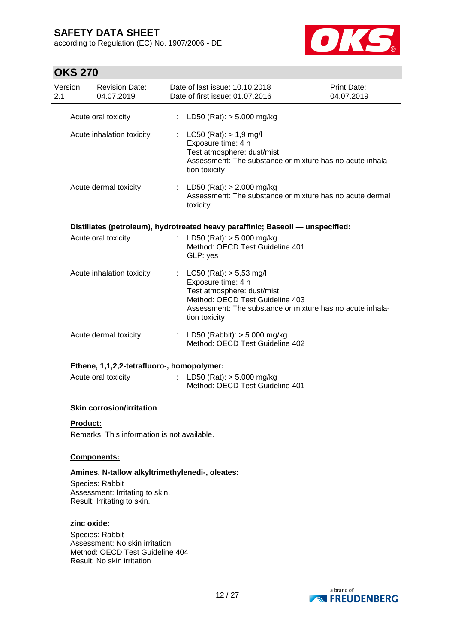according to Regulation (EC) No. 1907/2006 - DE



## **OKS 270**

|                | ,,,,,,,,        |                                                                                                                    |                               |                                                                                                                                                                                                |                           |
|----------------|-----------------|--------------------------------------------------------------------------------------------------------------------|-------------------------------|------------------------------------------------------------------------------------------------------------------------------------------------------------------------------------------------|---------------------------|
| Version<br>2.1 |                 | <b>Revision Date:</b><br>04.07.2019                                                                                |                               | Date of last issue: 10.10.2018<br>Date of first issue: 01.07.2016                                                                                                                              | Print Date:<br>04.07.2019 |
|                |                 | Acute oral toxicity                                                                                                | ÷                             | LD50 (Rat): $> 5.000$ mg/kg                                                                                                                                                                    |                           |
|                |                 | Acute inhalation toxicity                                                                                          | ÷                             | $LC50$ (Rat): $> 1.9$ mg/l<br>Exposure time: 4 h<br>Test atmosphere: dust/mist<br>Assessment: The substance or mixture has no acute inhala-<br>tion toxicity                                   |                           |
|                |                 | Acute dermal toxicity                                                                                              |                               | : LD50 (Rat): $> 2.000$ mg/kg<br>Assessment: The substance or mixture has no acute dermal<br>toxicity                                                                                          |                           |
|                |                 |                                                                                                                    |                               | Distillates (petroleum), hydrotreated heavy paraffinic; Baseoil - unspecified:                                                                                                                 |                           |
|                |                 | Acute oral toxicity                                                                                                |                               | LD50 (Rat): $> 5.000$ mg/kg<br>Method: OECD Test Guideline 401<br>GLP: yes                                                                                                                     |                           |
|                |                 | Acute inhalation toxicity                                                                                          | $\mathbb{Z}^{\mathbb{Z}^n}$ . | LC50 (Rat): $> 5,53$ mg/l<br>Exposure time: 4 h<br>Test atmosphere: dust/mist<br>Method: OECD Test Guideline 403<br>Assessment: The substance or mixture has no acute inhala-<br>tion toxicity |                           |
|                |                 | Acute dermal toxicity                                                                                              |                               | : LD50 (Rabbit): $> 5.000$ mg/kg<br>Method: OECD Test Guideline 402                                                                                                                            |                           |
|                |                 | Ethene, 1,1,2,2-tetrafluoro-, homopolymer:                                                                         |                               |                                                                                                                                                                                                |                           |
|                |                 | Acute oral toxicity                                                                                                |                               | : LD50 (Rat): $> 5.000$ mg/kg<br>Method: OECD Test Guideline 401                                                                                                                               |                           |
|                |                 | <b>Skin corrosion/irritation</b>                                                                                   |                               |                                                                                                                                                                                                |                           |
|                | <b>Product:</b> |                                                                                                                    |                               |                                                                                                                                                                                                |                           |
|                |                 | Remarks: This information is not available.                                                                        |                               |                                                                                                                                                                                                |                           |
|                |                 | Components:                                                                                                        |                               |                                                                                                                                                                                                |                           |
|                |                 | Amines, N-tallow alkyltrimethylenedi-, oleates:                                                                    |                               |                                                                                                                                                                                                |                           |
|                |                 | Species: Rabbit<br>Assessment: Irritating to skin.<br>Result: Irritating to skin.                                  |                               |                                                                                                                                                                                                |                           |
|                | zinc oxide:     |                                                                                                                    |                               |                                                                                                                                                                                                |                           |
|                |                 | Species: Rabbit<br>Assessment: No skin irritation<br>Method: OECD Test Guideline 404<br>Result: No skin irritation |                               |                                                                                                                                                                                                |                           |

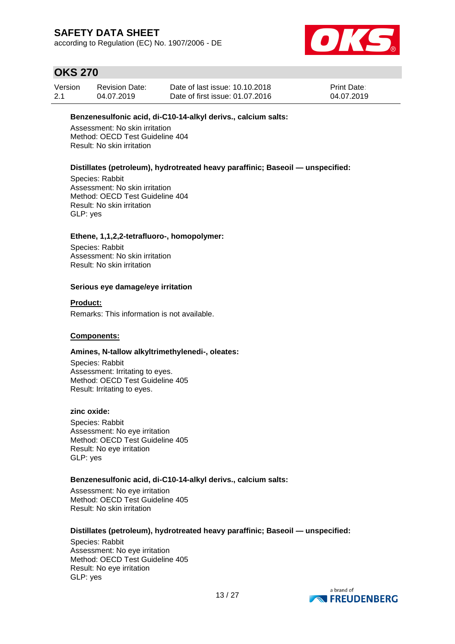according to Regulation (EC) No. 1907/2006 - DE



## **OKS 270**

| Version | <b>Revision Date:</b> | Date of last issue: 10.10.2018  | <b>Print Date:</b> |
|---------|-----------------------|---------------------------------|--------------------|
| 2.1     | 04.07.2019            | Date of first issue: 01.07.2016 | 04.07.2019         |

#### **Benzenesulfonic acid, di-C10-14-alkyl derivs., calcium salts:**

Assessment: No skin irritation Method: OECD Test Guideline 404 Result: No skin irritation

### **Distillates (petroleum), hydrotreated heavy paraffinic; Baseoil — unspecified:**

Species: Rabbit Assessment: No skin irritation Method: OECD Test Guideline 404 Result: No skin irritation GLP: yes

#### **Ethene, 1,1,2,2-tetrafluoro-, homopolymer:**

Species: Rabbit Assessment: No skin irritation Result: No skin irritation

#### **Serious eye damage/eye irritation**

**Product:**

Remarks: This information is not available.

### **Components:**

#### **Amines, N-tallow alkyltrimethylenedi-, oleates:**

Species: Rabbit Assessment: Irritating to eyes. Method: OECD Test Guideline 405 Result: Irritating to eyes.

#### **zinc oxide:**

Species: Rabbit Assessment: No eye irritation Method: OECD Test Guideline 405 Result: No eye irritation GLP: yes

### **Benzenesulfonic acid, di-C10-14-alkyl derivs., calcium salts:**

Assessment: No eye irritation Method: OECD Test Guideline 405 Result: No skin irritation

### **Distillates (petroleum), hydrotreated heavy paraffinic; Baseoil — unspecified:**

Species: Rabbit Assessment: No eye irritation Method: OECD Test Guideline 405 Result: No eye irritation GLP: yes

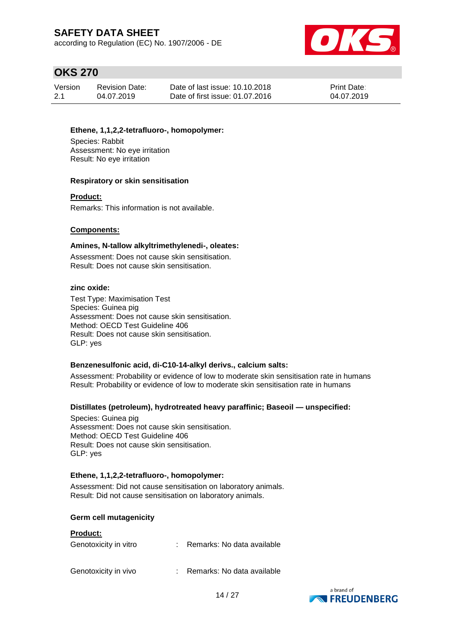according to Regulation (EC) No. 1907/2006 - DE



## **OKS 270**

| Version | <b>Revision Date:</b> | Date of last issue: 10.10.2018  | <b>Print Date:</b> |
|---------|-----------------------|---------------------------------|--------------------|
| 2.1     | 04.07.2019            | Date of first issue: 01.07.2016 | 04.07.2019         |

### **Ethene, 1,1,2,2-tetrafluoro-, homopolymer:**

Species: Rabbit Assessment: No eye irritation Result: No eye irritation

### **Respiratory or skin sensitisation**

#### **Product:**

Remarks: This information is not available.

### **Components:**

#### **Amines, N-tallow alkyltrimethylenedi-, oleates:**

Assessment: Does not cause skin sensitisation. Result: Does not cause skin sensitisation.

### **zinc oxide:**

Test Type: Maximisation Test Species: Guinea pig Assessment: Does not cause skin sensitisation. Method: OECD Test Guideline 406 Result: Does not cause skin sensitisation. GLP: yes

### **Benzenesulfonic acid, di-C10-14-alkyl derivs., calcium salts:**

Assessment: Probability or evidence of low to moderate skin sensitisation rate in humans Result: Probability or evidence of low to moderate skin sensitisation rate in humans

### **Distillates (petroleum), hydrotreated heavy paraffinic; Baseoil — unspecified:**

Species: Guinea pig Assessment: Does not cause skin sensitisation. Method: OECD Test Guideline 406 Result: Does not cause skin sensitisation. GLP: yes

### **Ethene, 1,1,2,2-tetrafluoro-, homopolymer:**

Assessment: Did not cause sensitisation on laboratory animals. Result: Did not cause sensitisation on laboratory animals.

#### **Germ cell mutagenicity**

#### **Product:**

| Genotoxicity in vitro | Remarks: No data available |
|-----------------------|----------------------------|
| Genotoxicity in vivo  | Remarks: No data available |

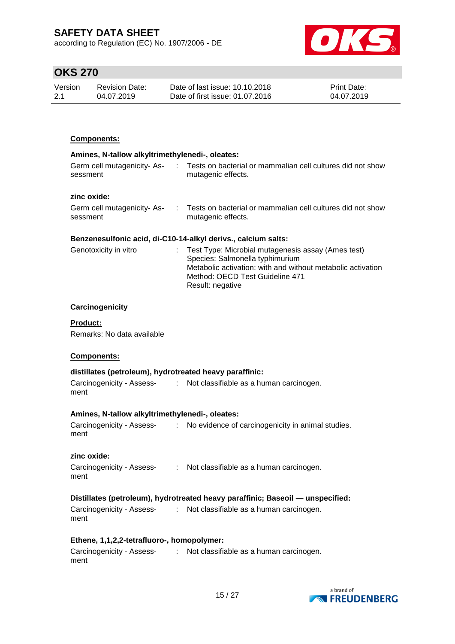according to Regulation (EC) No. 1907/2006 - DE



## **OKS 270**

| Version | Revision Date: | Date of last issue: 10.10.2018  | <b>Print Date:</b> |
|---------|----------------|---------------------------------|--------------------|
| 2.1     | 04.07.2019     | Date of first issue: 01.07.2016 | 04.07.2019         |

### **Components:**

| Amines, N-tallow alkyltrimethylenedi-, oleates: |  |                                                                                  |  |  |  |
|-------------------------------------------------|--|----------------------------------------------------------------------------------|--|--|--|
| Germ cell mutagenicity- As-<br>sessment         |  | Tests on bacterial or mammalian cell cultures did not show<br>mutagenic effects. |  |  |  |
| zinc oxide:                                     |  |                                                                                  |  |  |  |
| Germ cell mutagenicity-As-                      |  | Tests on bacterial or mammalian cell cultures did not show                       |  |  |  |

mutagenic effects.

## **Benzenesulfonic acid, di-C10-14-alkyl derivs., calcium salts:**

| Genotoxicity in vitro | : Test Type: Microbial mutagenesis assay (Ames test)<br>Species: Salmonella typhimurium<br>Metabolic activation: with and without metabolic activation<br>Method: OECD Test Guideline 471 |  |
|-----------------------|-------------------------------------------------------------------------------------------------------------------------------------------------------------------------------------------|--|
|                       | Result: negative                                                                                                                                                                          |  |

#### **Carcinogenicity**

#### **Product:**

sessment

Remarks: No data available

### **Components:**

### **distillates (petroleum), hydrotreated heavy paraffinic:**

Carcinogenicity - Assess-: Not classifiable as a human carcinogen. ment

#### **Amines, N-tallow alkyltrimethylenedi-, oleates:**

Carcinogenicity - Assess-: No evidence of carcinogenicity in animal studies. ment

### **zinc oxide:**

Carcinogenicity - Assess-: Not classifiable as a human carcinogen. ment

### **Distillates (petroleum), hydrotreated heavy paraffinic; Baseoil — unspecified:**

| Carcinogenicity - Assess- | Not classifiable as a human carcinogen. |
|---------------------------|-----------------------------------------|
| ment                      |                                         |

### **Ethene, 1,1,2,2-tetrafluoro-, homopolymer:**

Carcinogenicity - Assess-: Not classifiable as a human carcinogen.ment

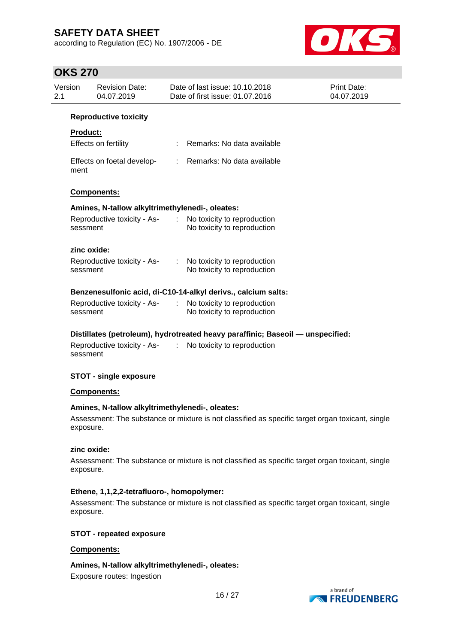according to Regulation (EC) No. 1907/2006 - DE



## **OKS 270**

| UNJ ZIV         |                                                 |                                                                                                  |                           |
|-----------------|-------------------------------------------------|--------------------------------------------------------------------------------------------------|---------------------------|
| Version<br>2.1  | <b>Revision Date:</b><br>04.07.2019             | Date of last issue: 10.10.2018<br>Date of first issue: 01.07.2016                                | Print Date:<br>04.07.2019 |
|                 | <b>Reproductive toxicity</b>                    |                                                                                                  |                           |
| <b>Product:</b> |                                                 |                                                                                                  |                           |
|                 | Effects on fertility                            | Remarks: No data available<br>$\mathcal{L}$                                                      |                           |
| ment            | Effects on foetal develop-                      | Remarks: No data available<br>$\mathbb{Z}^{\mathbb{Z}^n}$ .                                      |                           |
|                 | Components:                                     |                                                                                                  |                           |
|                 | Amines, N-tallow alkyltrimethylenedi-, oleates: |                                                                                                  |                           |
| sessment        | Reproductive toxicity - As-                     | $\mathcal{L}^{\pm}$<br>No toxicity to reproduction<br>No toxicity to reproduction                |                           |
|                 | zinc oxide:                                     |                                                                                                  |                           |
| sessment        | Reproductive toxicity - As-                     | No toxicity to reproduction<br>No toxicity to reproduction                                       |                           |
|                 |                                                 | Benzenesulfonic acid, di-C10-14-alkyl derivs., calcium salts:                                    |                           |
| sessment        | Reproductive toxicity - As-                     | No toxicity to reproduction<br>$\mathcal{L}^{\mathcal{L}}$<br>No toxicity to reproduction        |                           |
|                 |                                                 | Distillates (petroleum), hydrotreated heavy paraffinic; Baseoil - unspecified:                   |                           |
| sessment        | Reproductive toxicity - As-                     | No toxicity to reproduction<br>$\mathcal{L}$                                                     |                           |
|                 | <b>STOT - single exposure</b>                   |                                                                                                  |                           |
|                 | <b>Components:</b>                              |                                                                                                  |                           |
| exposure.       | Amines, N-tallow alkyltrimethylenedi-, oleates: | Assessment: The substance or mixture is not classified as specific target organ toxicant, single |                           |
| exposure.       | zinc oxide:                                     | Assessment: The substance or mixture is not classified as specific target organ toxicant, single |                           |
|                 | Ethene, 1,1,2,2-tetrafluoro-, homopolymer:      |                                                                                                  |                           |

Assessment: The substance or mixture is not classified as specific target organ toxicant, single exposure.

### **STOT - repeated exposure**

### **Components:**

**Amines, N-tallow alkyltrimethylenedi-, oleates:**

Exposure routes: Ingestion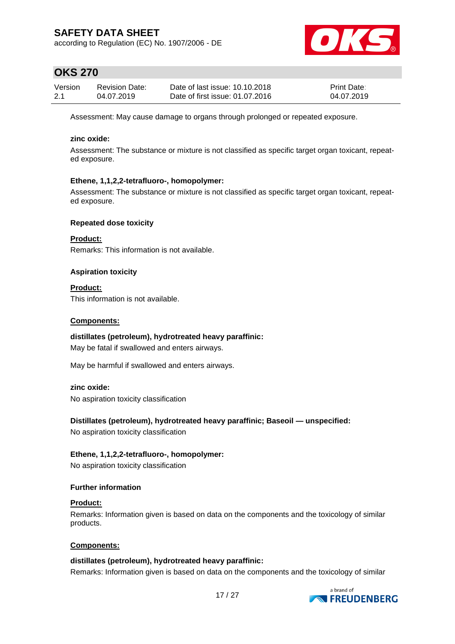according to Regulation (EC) No. 1907/2006 - DE



## **OKS 270**

| Version | <b>Revision Date:</b> | Date of last issue: 10.10.2018  | <b>Print Date:</b> |
|---------|-----------------------|---------------------------------|--------------------|
| 2.1     | 04.07.2019            | Date of first issue: 01.07.2016 | 04.07.2019         |

Assessment: May cause damage to organs through prolonged or repeated exposure.

### **zinc oxide:**

Assessment: The substance or mixture is not classified as specific target organ toxicant, repeated exposure.

### **Ethene, 1,1,2,2-tetrafluoro-, homopolymer:**

Assessment: The substance or mixture is not classified as specific target organ toxicant, repeated exposure.

### **Repeated dose toxicity**

**Product:** Remarks: This information is not available.

### **Aspiration toxicity**

**Product:** This information is not available.

### **Components:**

**distillates (petroleum), hydrotreated heavy paraffinic:** May be fatal if swallowed and enters airways.

May be harmful if swallowed and enters airways.

### **zinc oxide:**

No aspiration toxicity classification

**Distillates (petroleum), hydrotreated heavy paraffinic; Baseoil — unspecified:**

No aspiration toxicity classification

### **Ethene, 1,1,2,2-tetrafluoro-, homopolymer:**

No aspiration toxicity classification

### **Further information**

### **Product:**

Remarks: Information given is based on data on the components and the toxicology of similar products.

### **Components:**

### **distillates (petroleum), hydrotreated heavy paraffinic:**

Remarks: Information given is based on data on the components and the toxicology of similar

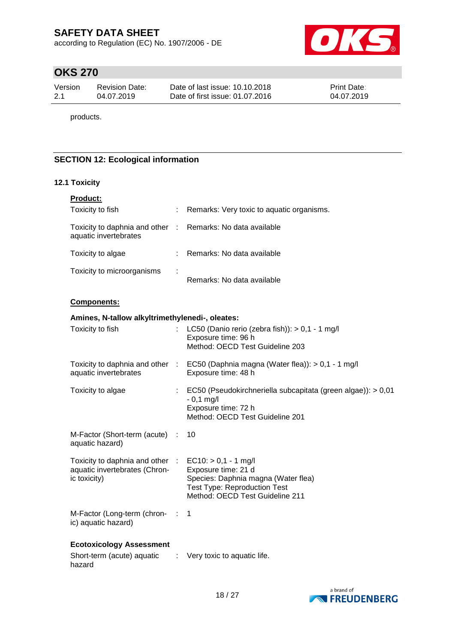according to Regulation (EC) No. 1907/2006 - DE



## **OKS 270**

| Version | Revision Date: | Date of last issue: 10.10.2018  | <b>Print Date:</b> |
|---------|----------------|---------------------------------|--------------------|
| 2.1     | 04.07.2019     | Date of first issue: 01.07.2016 | 04.07.2019         |

products.

## **SECTION 12: Ecological information**

### **12.1 Toxicity**

| Product:                                                                            |                       |                                                                                                                                                                |
|-------------------------------------------------------------------------------------|-----------------------|----------------------------------------------------------------------------------------------------------------------------------------------------------------|
| Toxicity to fish                                                                    |                       | Remarks: Very toxic to aquatic organisms.                                                                                                                      |
| Toxicity to daphnia and other : Remarks: No data available<br>aquatic invertebrates |                       |                                                                                                                                                                |
| Toxicity to algae                                                                   |                       | Remarks: No data available                                                                                                                                     |
| Toxicity to microorganisms                                                          |                       | Remarks: No data available                                                                                                                                     |
| Components:                                                                         |                       |                                                                                                                                                                |
| Amines, N-tallow alkyltrimethylenedi-, oleates:                                     |                       |                                                                                                                                                                |
| Toxicity to fish                                                                    |                       | LC50 (Danio rerio (zebra fish)): $> 0.1 - 1$ mg/l<br>Exposure time: 96 h<br>Method: OECD Test Guideline 203                                                    |
| aquatic invertebrates                                                               |                       | Toxicity to daphnia and other : EC50 (Daphnia magna (Water flea)): > 0,1 - 1 mg/l<br>Exposure time: 48 h                                                       |
| Toxicity to algae                                                                   |                       | EC50 (Pseudokirchneriella subcapitata (green algae)): > 0,01<br>$-0,1$ mg/l<br>Exposure time: 72 h<br>Method: OECD Test Guideline 201                          |
| M-Factor (Short-term (acute) :<br>aquatic hazard)                                   |                       | 10                                                                                                                                                             |
| Toxicity to daphnia and other :<br>aquatic invertebrates (Chron-<br>ic toxicity)    |                       | $EC10:$ > 0,1 - 1 mg/l<br>Exposure time: 21 d<br>Species: Daphnia magna (Water flea)<br><b>Test Type: Reproduction Test</b><br>Method: OECD Test Guideline 211 |
| M-Factor (Long-term (chron- :<br>ic) aquatic hazard)                                |                       | 1                                                                                                                                                              |
| <b>Ecotoxicology Assessment</b><br>Short-term (acute) aquatic<br>hazard             | $\sim 100$ M $_\odot$ | Very toxic to aquatic life.                                                                                                                                    |

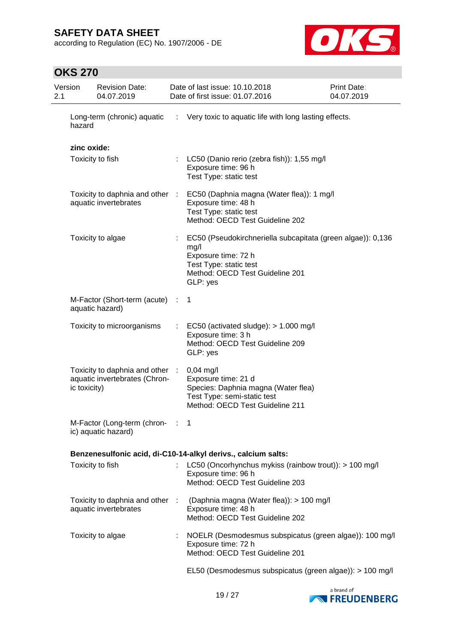according to Regulation (EC) No. 1907/2006 - DE



## **OKS 270**

| 2.1 | Version      | <b>Revision Date:</b><br>04.07.2019                              | Date of last issue: 10.10.2018<br>Date of first issue: 01.07.2016                                                                                                   | Print Date:<br>04.07.2019 |
|-----|--------------|------------------------------------------------------------------|---------------------------------------------------------------------------------------------------------------------------------------------------------------------|---------------------------|
|     | hazard       | Long-term (chronic) aquatic                                      | : Very toxic to aquatic life with long lasting effects.                                                                                                             |                           |
|     | zinc oxide:  |                                                                  |                                                                                                                                                                     |                           |
|     |              | Toxicity to fish                                                 | LC50 (Danio rerio (zebra fish)): 1,55 mg/l<br>Exposure time: 96 h<br>Test Type: static test                                                                         |                           |
|     |              | aquatic invertebrates                                            | Toxicity to daphnia and other : EC50 (Daphnia magna (Water flea)): 1 mg/l<br>Exposure time: 48 h<br>Test Type: static test<br>Method: OECD Test Guideline 202       |                           |
|     |              | Toxicity to algae                                                | EC50 (Pseudokirchneriella subcapitata (green algae)): 0,136<br>mg/l<br>Exposure time: 72 h<br>Test Type: static test<br>Method: OECD Test Guideline 201<br>GLP: yes |                           |
|     |              | M-Factor (Short-term (acute) :<br>aquatic hazard)                | $\mathbf 1$                                                                                                                                                         |                           |
|     |              | Toxicity to microorganisms                                       | EC50 (activated sludge): > 1.000 mg/l<br>Exposure time: 3 h<br>Method: OECD Test Guideline 209<br>GLP: yes                                                          |                           |
|     | ic toxicity) | Toxicity to daphnia and other :<br>aquatic invertebrates (Chron- | $0,04$ mg/l<br>Exposure time: 21 d<br>Species: Daphnia magna (Water flea)<br>Test Type: semi-static test<br>Method: OECD Test Guideline 211                         |                           |
|     |              | M-Factor (Long-term (chron-<br>ic) aquatic hazard)               | 1                                                                                                                                                                   |                           |
|     |              |                                                                  | Benzenesulfonic acid, di-C10-14-alkyl derivs., calcium salts:                                                                                                       |                           |
|     |              | Toxicity to fish                                                 | LC50 (Oncorhynchus mykiss (rainbow trout)): > 100 mg/l<br>Exposure time: 96 h<br>Method: OECD Test Guideline 203                                                    |                           |
|     |              | Toxicity to daphnia and other :<br>aquatic invertebrates         | (Daphnia magna (Water flea)): > 100 mg/l<br>Exposure time: 48 h<br>Method: OECD Test Guideline 202                                                                  |                           |
|     |              | Toxicity to algae                                                | NOELR (Desmodesmus subspicatus (green algae)): 100 mg/l<br>Exposure time: 72 h<br>Method: OECD Test Guideline 201                                                   |                           |
|     |              |                                                                  | EL50 (Desmodesmus subspicatus (green algae)): > 100 mg/l                                                                                                            |                           |

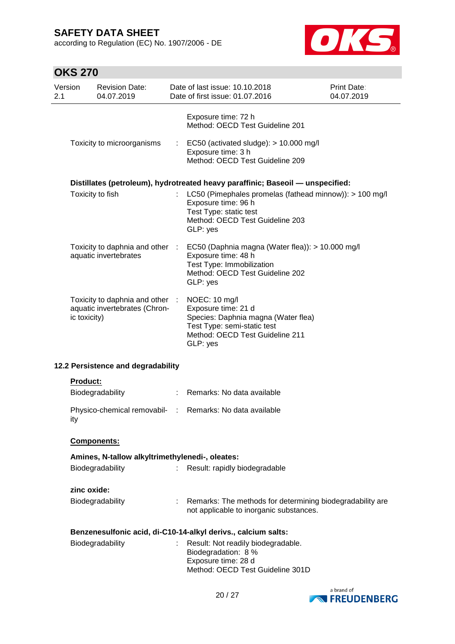according to Regulation (EC) No. 1907/2006 - DE



## **OKS 270**

| Version<br>2.1 |              | <b>Revision Date:</b><br>04.07.2019                            |             | Date of last issue: 10.10.2018<br><b>Print Date:</b><br>Date of first issue: 01.07.2016<br>04.07.2019                                                     |  |  |
|----------------|--------------|----------------------------------------------------------------|-------------|-----------------------------------------------------------------------------------------------------------------------------------------------------------|--|--|
|                |              |                                                                |             | Exposure time: 72 h<br>Method: OECD Test Guideline 201                                                                                                    |  |  |
|                |              | Toxicity to microorganisms                                     | ÷           | EC50 (activated sludge): $> 10.000$ mg/l<br>Exposure time: 3 h<br>Method: OECD Test Guideline 209                                                         |  |  |
|                |              |                                                                |             | Distillates (petroleum), hydrotreated heavy paraffinic; Baseoil - unspecified:                                                                            |  |  |
|                |              | Toxicity to fish                                               |             | LC50 (Pimephales promelas (fathead minnow)): > 100 mg/l<br>Exposure time: 96 h<br>Test Type: static test<br>Method: OECD Test Guideline 203<br>GLP: yes   |  |  |
|                |              | Toxicity to daphnia and other<br>aquatic invertebrates         | <b>COL</b>  | EC50 (Daphnia magna (Water flea)): > 10.000 mg/l<br>Exposure time: 48 h<br>Test Type: Immobilization<br>Method: OECD Test Guideline 202<br>GLP: yes       |  |  |
|                | ic toxicity) | Toxicity to daphnia and other<br>aquatic invertebrates (Chron- | $\sim 10^7$ | NOEC: 10 mg/l<br>Exposure time: 21 d<br>Species: Daphnia magna (Water flea)<br>Test Type: semi-static test<br>Method: OECD Test Guideline 211<br>GLP: yes |  |  |
|                |              | 12.2 Persistence and degradability                             |             |                                                                                                                                                           |  |  |
|                | Product:     |                                                                |             |                                                                                                                                                           |  |  |
|                |              | Biodegradability                                               |             | Remarks: No data available                                                                                                                                |  |  |
|                | ity          | Physico-chemical removabil-                                    | ÷.          | Remarks: No data available                                                                                                                                |  |  |
|                |              | Components:                                                    |             |                                                                                                                                                           |  |  |
|                |              | Amines, N-tallow alkyltrimethylenedi-, oleates:                |             |                                                                                                                                                           |  |  |
|                |              | Biodegradability                                               |             | Result: rapidly biodegradable                                                                                                                             |  |  |
|                | zinc oxide:  |                                                                |             |                                                                                                                                                           |  |  |
|                |              | Biodegradability                                               |             | Remarks: The methods for determining biodegradability are<br>not applicable to inorganic substances.                                                      |  |  |
|                |              |                                                                |             | Benzenesulfonic acid, di-C10-14-alkyl derivs., calcium salts:                                                                                             |  |  |
|                |              | Biodegradability                                               |             | Result: Not readily biodegradable.<br>Biodegradation: 8 %<br>Exposure time: 28 d<br>Method: OECD Test Guideline 301D                                      |  |  |

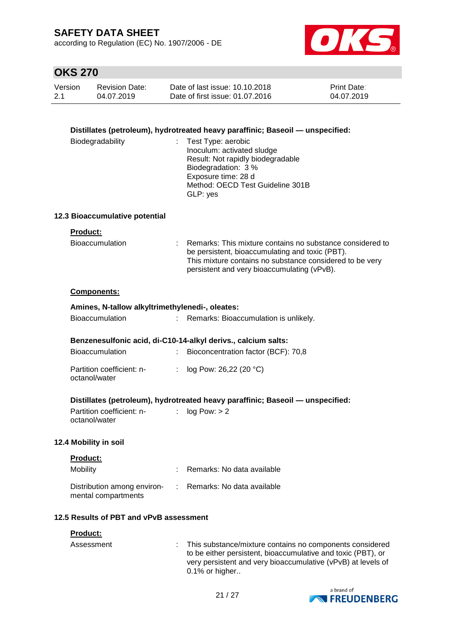according to Regulation (EC) No. 1907/2006 - DE



## **OKS 270**

| Version | <b>Revision Date:</b> | Date of last issue: 10.10.2018  | <b>Print Date:</b> |
|---------|-----------------------|---------------------------------|--------------------|
| 2.1     | 04.07.2019            | Date of first issue: 01.07.2016 | 04.07.2019         |

### **Distillates (petroleum), hydrotreated heavy paraffinic; Baseoil — unspecified:**

| Biodegradability | : Test Type: aerobic              |
|------------------|-----------------------------------|
|                  | Inoculum: activated sludge        |
|                  | Result: Not rapidly biodegradable |
|                  | Biodegradation: 3 %               |
|                  | Exposure time: 28 d               |
|                  | Method: OECD Test Guideline 301B  |
|                  | GLP: yes                          |

#### **12.3 Bioaccumulative potential**

## **Product:**

| Bioaccumulation | : Remarks: This mixture contains no substance considered to |
|-----------------|-------------------------------------------------------------|
|                 | be persistent, bioaccumulating and toxic (PBT).             |
|                 | This mixture contains no substance considered to be very    |
|                 | persistent and very bioaccumulating (vPvB).                 |

#### **Components:**

| Amines, N-tallow alkyltrimethylenedi-, oleates: |                                                               |
|-------------------------------------------------|---------------------------------------------------------------|
| <b>Bioaccumulation</b>                          | : Remarks: Bioaccumulation is unlikely.                       |
|                                                 |                                                               |
|                                                 | Benzenesulfonic acid, di-C10-14-alkyl derivs., calcium salts: |
| <b>Bioaccumulation</b>                          | Bioconcentration factor (BCF): 70,8                           |
| Partition coefficient: n-<br>octanol/water      | : $log Pow: 26,22 (20 °C)$                                    |

### **Distillates (petroleum), hydrotreated heavy paraffinic; Baseoil — unspecified:**

Partition coefficient: n- : log Pow: > 2 octanol/water

#### **12.4 Mobility in soil**

| <b>Product:</b><br>Mobility                        | : Remarks: No data available |
|----------------------------------------------------|------------------------------|
| Distribution among environ-<br>mental compartments | : Remarks: No data available |

### **12.5 Results of PBT and vPvB assessment**

#### **Product:**

| Assessment | : This substance/mixture contains no components considered   |
|------------|--------------------------------------------------------------|
|            | to be either persistent, bioaccumulative and toxic (PBT), or |
|            | very persistent and very bioaccumulative (vPvB) at levels of |
|            | 0.1% or higher                                               |

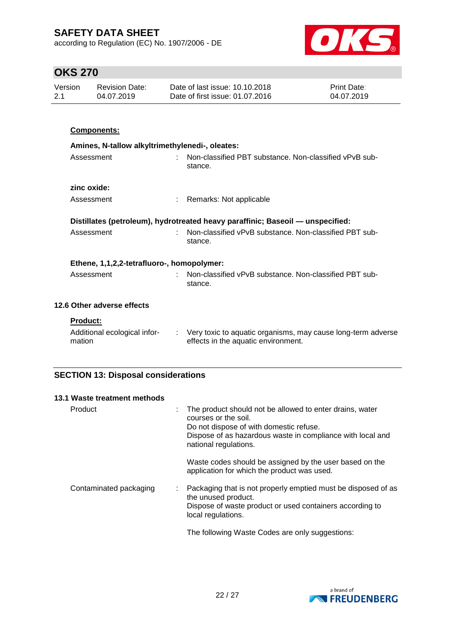according to Regulation (EC) No. 1907/2006 - DE



## **OKS 270**

| Version<br><b>Revision Date:</b><br>04.07.2019<br>2.1 |                 | Date of last issue: 10.10.2018<br>Date of first issue: 01.07.2016 | Print Date:<br>04.07.2019                                                      |                         |
|-------------------------------------------------------|-----------------|-------------------------------------------------------------------|--------------------------------------------------------------------------------|-------------------------|
|                                                       |                 |                                                                   |                                                                                |                         |
|                                                       |                 | Components:                                                       |                                                                                |                         |
|                                                       |                 | Amines, N-tallow alkyltrimethylenedi-, oleates:                   |                                                                                |                         |
|                                                       | Assessment      |                                                                   | Non-classified PBT substance. Non-classified vPvB sub-<br>stance.              |                         |
|                                                       | zinc oxide:     |                                                                   |                                                                                |                         |
|                                                       | Assessment      |                                                                   | Remarks: Not applicable                                                        |                         |
|                                                       |                 |                                                                   | Distillates (petroleum), hydrotreated heavy paraffinic; Baseoil - unspecified: |                         |
|                                                       | Assessment      |                                                                   | Non-classified vPvB substance. Non-classified PBT sub-<br>stance.              |                         |
|                                                       |                 | Ethene, 1,1,2,2-tetrafluoro-, homopolymer:                        |                                                                                |                         |
|                                                       | Assessment      |                                                                   | Non-classified vPvB substance. Non-classified PBT sub-<br>stance.              |                         |
|                                                       |                 | 12.6 Other adverse effects                                        |                                                                                |                         |
|                                                       | <b>Product:</b> |                                                                   |                                                                                |                         |
|                                                       |                 |                                                                   | ويعتبر والمستنصر والمتحول والمتحل المتحرك والمتحارب والمحارب المستلال المائية  | متحفظ المستحال المستحدد |

## **SECTION 13: Disposal considerations**

| 13.1 Waste treatment methods |                                                                                                                                                                                                                         |
|------------------------------|-------------------------------------------------------------------------------------------------------------------------------------------------------------------------------------------------------------------------|
| Product                      | The product should not be allowed to enter drains, water<br>÷<br>courses or the soil.<br>Do not dispose of with domestic refuse.<br>Dispose of as hazardous waste in compliance with local and<br>national regulations. |
|                              | Waste codes should be assigned by the user based on the<br>application for which the product was used.                                                                                                                  |
| Contaminated packaging       | Packaging that is not properly emptied must be disposed of as<br>÷<br>the unused product.<br>Dispose of waste product or used containers according to<br>local regulations.                                             |
|                              | The following Waste Codes are only suggestions:                                                                                                                                                                         |

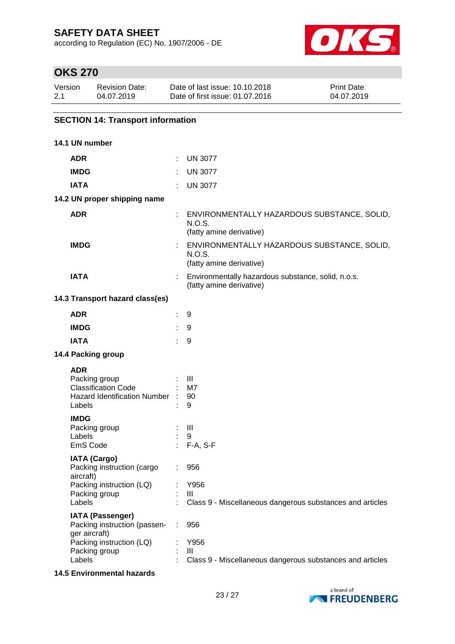according to Regulation (EC) No. 1907/2006 - DE



## **OKS 270**

| Version | <b>Revision Date:</b> | Date of last issue: 10.10.2018  | <b>Print Date:</b> |
|---------|-----------------------|---------------------------------|--------------------|
| 2.1     | 04.07.2019            | Date of first issue: 01.07.2016 | 04.07.2019         |

## **SECTION 14: Transport information**

| 14.1 UN number                                                                                        |                            |                                                                                     |
|-------------------------------------------------------------------------------------------------------|----------------------------|-------------------------------------------------------------------------------------|
| <b>ADR</b>                                                                                            |                            | $:$ UN 3077                                                                         |
| <b>IMDG</b>                                                                                           |                            | <b>UN 3077</b>                                                                      |
| <b>IATA</b>                                                                                           |                            | <b>UN 3077</b>                                                                      |
| 14.2 UN proper shipping name                                                                          |                            |                                                                                     |
| <b>ADR</b>                                                                                            |                            | : ENVIRONMENTALLY HAZARDOUS SUBSTANCE, SOLID,<br>N.O.S.<br>(fatty amine derivative) |
| <b>IMDG</b>                                                                                           |                            | ENVIRONMENTALLY HAZARDOUS SUBSTANCE, SOLID,<br>N.O.S.<br>(fatty amine derivative)   |
| <b>IATA</b>                                                                                           |                            | Environmentally hazardous substance, solid, n.o.s.<br>(fatty amine derivative)      |
| 14.3 Transport hazard class(es)                                                                       |                            |                                                                                     |
| <b>ADR</b>                                                                                            |                            | 9                                                                                   |
| <b>IMDG</b>                                                                                           |                            | 9                                                                                   |
| <b>IATA</b>                                                                                           |                            | 9                                                                                   |
| 14.4 Packing group                                                                                    |                            |                                                                                     |
| <b>ADR</b><br>Packing group<br><b>Classification Code</b><br>Hazard Identification Number :<br>Labels | $\pm$ 111                  | M7<br>90<br>9                                                                       |
| <b>IMDG</b><br>Packing group<br>Labels<br>EmS Code                                                    |                            | $\blacksquare$<br>9<br>$: F-A, S-F$                                                 |
| <b>IATA (Cargo)</b><br>Packing instruction (cargo<br>aircraft)                                        | $\mathcal{L}^{\text{max}}$ | 956                                                                                 |
| Packing instruction (LQ)<br>Packing group<br>Labels                                                   |                            | Y956<br>Ш<br>Class 9 - Miscellaneous dangerous substances and articles              |
| <b>IATA (Passenger)</b><br>Packing instruction (passen-<br>ger aircraft)<br>Packing instruction (LQ)  | ÷                          | 956<br>Y956                                                                         |
| Packing group<br>Labels                                                                               |                            | $\mathbf{III}$<br>Class 9 - Miscellaneous dangerous substances and articles         |

### **14.5 Environmental hazards**

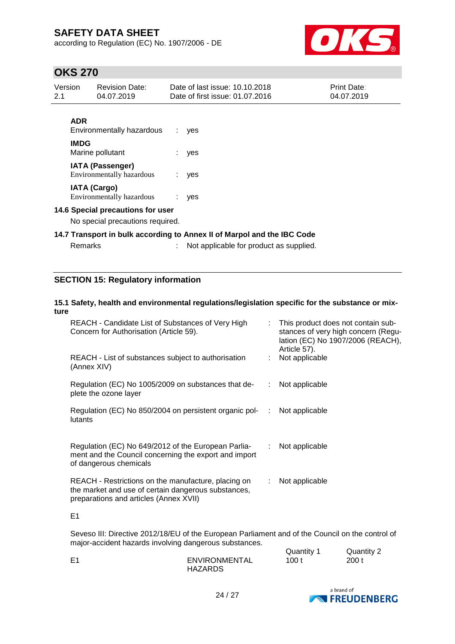according to Regulation (EC) No. 1907/2006 - DE



## **OKS 270**

| Version<br>2.1 |             | <b>Revision Date:</b><br>04.07.2019                  |    | Date of last issue: 10.10.2018<br>Date of first issue: 01.07.2016       | <b>Print Date:</b><br>04.07.2019 |
|----------------|-------------|------------------------------------------------------|----|-------------------------------------------------------------------------|----------------------------------|
|                | <b>ADR</b>  | Environmentally hazardous                            |    | yes                                                                     |                                  |
|                | <b>IMDG</b> | Marine pollutant                                     |    | yes                                                                     |                                  |
|                |             | <b>IATA (Passenger)</b><br>Environmentally hazardous | ÷. | yes                                                                     |                                  |
|                |             | <b>IATA (Cargo)</b><br>Environmentally hazardous     |    | yes                                                                     |                                  |
|                |             | 14.6 Special precautions for user                    |    |                                                                         |                                  |
|                |             | No special precautions required.                     |    |                                                                         |                                  |
|                |             |                                                      |    | 14.7 Transport in bulk according to Annex II of Marpol and the IBC Code |                                  |
|                | Remarks     |                                                      |    | Not applicable for product as supplied.                                 |                                  |

### **SECTION 15: Regulatory information**

#### **15.1 Safety, health and environmental regulations/legislation specific for the substance or mixture**

| REACH - Candidate List of Substances of Very High<br>Concern for Authorisation (Article 59).                                                         |    | : This product does not contain sub-<br>stances of very high concern (Regu-<br>lation (EC) No 1907/2006 (REACH),<br>Article 57). |
|------------------------------------------------------------------------------------------------------------------------------------------------------|----|----------------------------------------------------------------------------------------------------------------------------------|
| REACH - List of substances subject to authorisation<br>(Annex XIV)                                                                                   |    | Not applicable                                                                                                                   |
| Regulation (EC) No 1005/2009 on substances that de-<br>plete the ozone layer                                                                         |    | Not applicable                                                                                                                   |
| Regulation (EC) No 850/2004 on persistent organic pol-<br>lutants                                                                                    | ÷  | Not applicable                                                                                                                   |
| Regulation (EC) No 649/2012 of the European Parlia-<br>ment and the Council concerning the export and import<br>of dangerous chemicals               | ÷. | Not applicable                                                                                                                   |
| REACH - Restrictions on the manufacture, placing on<br>the market and use of certain dangerous substances,<br>preparations and articles (Annex XVII) | ÷. | Not applicable                                                                                                                   |

E1

Seveso III: Directive 2012/18/EU of the European Parliament and of the Council on the control of major-accident hazards involving dangerous substances.  $Quantitiv 1$  Quantity 2

|                | $x$ uuritity i | $x$ uunny $-$ |
|----------------|----------------|---------------|
| ENVIRONMENTAL  | 100 t          | 200 t         |
| <b>HAZARDS</b> |                |               |

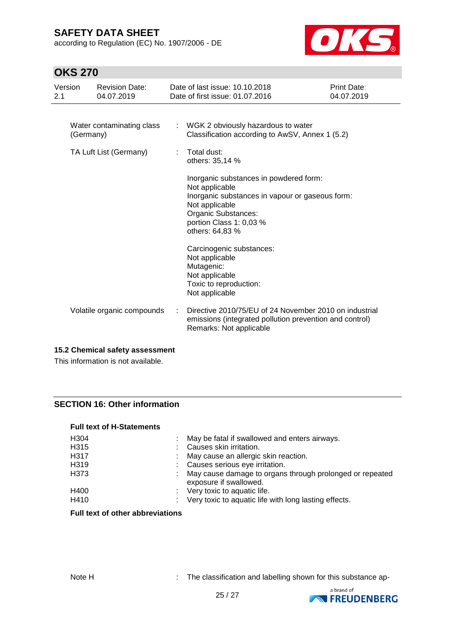according to Regulation (EC) No. 1907/2006 - DE



## **OKS 270**

| Version<br>2.1                         |  | <b>Revision Date:</b><br>04.07.2019 |                                                                                         | Date of last issue: 10.10.2018<br>Date of first issue: 01.07.2016                                                                                        | Print Date:<br>04.07.2019 |
|----------------------------------------|--|-------------------------------------|-----------------------------------------------------------------------------------------|----------------------------------------------------------------------------------------------------------------------------------------------------------|---------------------------|
| Water contaminating class<br>(Germany) |  |                                     | : WGK 2 obviously hazardous to water<br>Classification according to AwSV, Annex 1 (5.2) |                                                                                                                                                          |                           |
| TA Luft List (Germany)                 |  |                                     | ÷                                                                                       | Total dust:<br>others: 35,14 %<br>Inorganic substances in powdered form:                                                                                 |                           |
|                                        |  |                                     |                                                                                         | Not applicable<br>Inorganic substances in vapour or gaseous form:<br>Not applicable<br>Organic Substances:<br>portion Class 1: 0,03 %<br>others: 64,83 % |                           |
|                                        |  |                                     |                                                                                         | Carcinogenic substances:<br>Not applicable<br>Mutagenic:<br>Not applicable<br>Toxic to reproduction:<br>Not applicable                                   |                           |
|                                        |  | Volatile organic compounds          |                                                                                         | Directive 2010/75/EU of 24 November 2010 on industrial<br>emissions (integrated pollution prevention and control)<br>Remarks: Not applicable             |                           |

### **15.2 Chemical safety assessment**

This information is not available.

### **SECTION 16: Other information**

#### **Full text of H-Statements**

| H <sub>304</sub>  | May be fatal if swallowed and enters airways.                                      |
|-------------------|------------------------------------------------------------------------------------|
| H315              | Causes skin irritation.                                                            |
| H <sub>3</sub> 17 | : May cause an allergic skin reaction.                                             |
| H319              | : Causes serious eye irritation.                                                   |
| H373              | May cause damage to organs through prolonged or repeated<br>exposure if swallowed. |
| H400              | : Very toxic to aquatic life.                                                      |
| H410              | : Very toxic to aquatic life with long lasting effects.                            |

### **Full text of other abbreviations**

Note H : The classification and labelling shown for this substance ap-

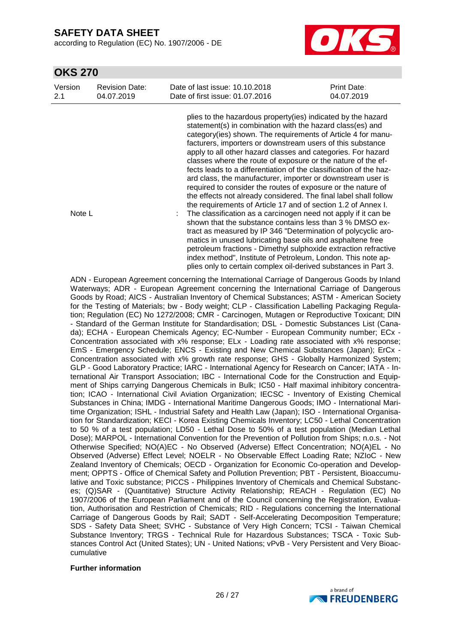according to Regulation (EC) No. 1907/2006 - DE



## **OKS 270**

| Version | <b>Revision Date:</b> | Date of last issue: 10.10.2018                                                                                                                                                                                                                                                                                                                                                                                                                                                                                                                                                                                                                                                                                                                                                                                                                                                                                                                                                                                                                                                                                                                                                                        | Print Date: |
|---------|-----------------------|-------------------------------------------------------------------------------------------------------------------------------------------------------------------------------------------------------------------------------------------------------------------------------------------------------------------------------------------------------------------------------------------------------------------------------------------------------------------------------------------------------------------------------------------------------------------------------------------------------------------------------------------------------------------------------------------------------------------------------------------------------------------------------------------------------------------------------------------------------------------------------------------------------------------------------------------------------------------------------------------------------------------------------------------------------------------------------------------------------------------------------------------------------------------------------------------------------|-------------|
| 2.1     | 04.07.2019            | Date of first issue: 01.07.2016                                                                                                                                                                                                                                                                                                                                                                                                                                                                                                                                                                                                                                                                                                                                                                                                                                                                                                                                                                                                                                                                                                                                                                       | 04.07.2019  |
| Note L  |                       | plies to the hazardous property (ies) indicated by the hazard<br>statement(s) in combination with the hazard class(es) and<br>category(ies) shown. The requirements of Article 4 for manu-<br>facturers, importers or downstream users of this substance<br>apply to all other hazard classes and categories. For hazard<br>classes where the route of exposure or the nature of the ef-<br>fects leads to a differentiation of the classification of the haz-<br>ard class, the manufacturer, importer or downstream user is<br>required to consider the routes of exposure or the nature of<br>the effects not already considered. The final label shall follow<br>the requirements of Article 17 and of section 1.2 of Annex I.<br>The classification as a carcinogen need not apply if it can be<br>shown that the substance contains less than 3 % DMSO ex-<br>tract as measured by IP 346 "Determination of polycyclic aro-<br>matics in unused lubricating base oils and asphaltene free<br>petroleum fractions - Dimethyl sulphoxide extraction refractive<br>index method", Institute of Petroleum, London. This note ap-<br>plies only to certain complex oil-derived substances in Part 3. |             |

ADN - European Agreement concerning the International Carriage of Dangerous Goods by Inland Waterways; ADR - European Agreement concerning the International Carriage of Dangerous Goods by Road; AICS - Australian Inventory of Chemical Substances; ASTM - American Society for the Testing of Materials; bw - Body weight; CLP - Classification Labelling Packaging Regulation; Regulation (EC) No 1272/2008; CMR - Carcinogen, Mutagen or Reproductive Toxicant; DIN - Standard of the German Institute for Standardisation; DSL - Domestic Substances List (Canada); ECHA - European Chemicals Agency; EC-Number - European Community number; ECx - Concentration associated with x% response; ELx - Loading rate associated with x% response; EmS - Emergency Schedule; ENCS - Existing and New Chemical Substances (Japan); ErCx - Concentration associated with x% growth rate response; GHS - Globally Harmonized System; GLP - Good Laboratory Practice; IARC - International Agency for Research on Cancer; IATA - International Air Transport Association; IBC - International Code for the Construction and Equipment of Ships carrying Dangerous Chemicals in Bulk; IC50 - Half maximal inhibitory concentration; ICAO - International Civil Aviation Organization; IECSC - Inventory of Existing Chemical Substances in China; IMDG - International Maritime Dangerous Goods; IMO - International Maritime Organization; ISHL - Industrial Safety and Health Law (Japan); ISO - International Organisation for Standardization; KECI - Korea Existing Chemicals Inventory; LC50 - Lethal Concentration to 50 % of a test population; LD50 - Lethal Dose to 50% of a test population (Median Lethal Dose); MARPOL - International Convention for the Prevention of Pollution from Ships; n.o.s. - Not Otherwise Specified; NO(A)EC - No Observed (Adverse) Effect Concentration; NO(A)EL - No Observed (Adverse) Effect Level; NOELR - No Observable Effect Loading Rate; NZIoC - New Zealand Inventory of Chemicals; OECD - Organization for Economic Co-operation and Development; OPPTS - Office of Chemical Safety and Pollution Prevention; PBT - Persistent, Bioaccumulative and Toxic substance; PICCS - Philippines Inventory of Chemicals and Chemical Substances; (Q)SAR - (Quantitative) Structure Activity Relationship; REACH - Regulation (EC) No 1907/2006 of the European Parliament and of the Council concerning the Registration, Evaluation, Authorisation and Restriction of Chemicals; RID - Regulations concerning the International Carriage of Dangerous Goods by Rail; SADT - Self-Accelerating Decomposition Temperature; SDS - Safety Data Sheet; SVHC - Substance of Very High Concern; TCSI - Taiwan Chemical Substance Inventory; TRGS - Technical Rule for Hazardous Substances; TSCA - Toxic Substances Control Act (United States); UN - United Nations; vPvB - Very Persistent and Very Bioaccumulative

#### **Further information**